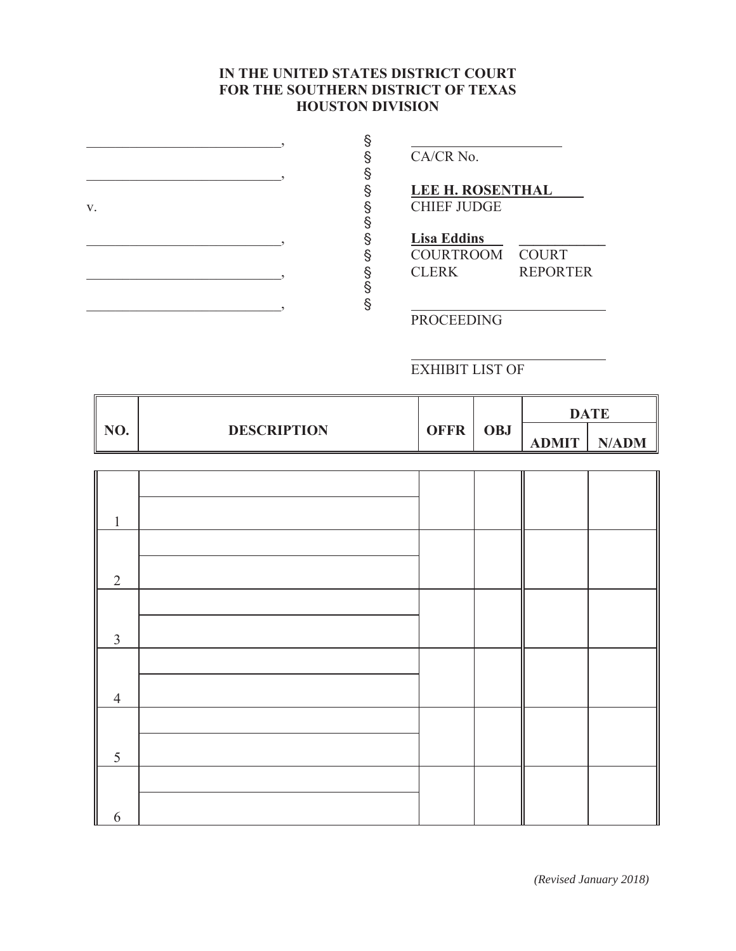## IN THE UNITED STATES DISTRICT COURT **FOR THE SOUTHERN DISTRICT OF TEXAS HOUSTON DIVISION**

|    |   | CA/CR No.               |                 |  |
|----|---|-------------------------|-----------------|--|
|    |   |                         |                 |  |
|    | δ | <b>LEE H. ROSENTHAL</b> |                 |  |
| V. |   | <b>CHIEF JUDGE</b>      |                 |  |
|    |   |                         |                 |  |
|    | § | <b>Lisa Eddins</b>      |                 |  |
|    | δ | COURTROOM COURT         |                 |  |
|    |   | <b>CLERK</b>            | <b>REPORTER</b> |  |
|    |   |                         |                 |  |
|    |   |                         |                 |  |
|    |   | <b>PROCEEDING</b>       |                 |  |

<u> 1989 - Johann Stein, fransk politiker (d. 1989)</u>

EXHIBIT LIST OF

|     |                    |             |     | DATE         |              |
|-----|--------------------|-------------|-----|--------------|--------------|
| NO. | <b>DESCRIPTION</b> | <b>OFFR</b> | OBJ | <b>ADMIT</b> | <b>N/ADM</b> |

| 1              |  |  |  |
|----------------|--|--|--|
|                |  |  |  |
| $\overline{2}$ |  |  |  |
|                |  |  |  |
| 3              |  |  |  |
|                |  |  |  |
| $\overline{4}$ |  |  |  |
|                |  |  |  |
| 5              |  |  |  |
|                |  |  |  |
| 6              |  |  |  |

*(Revised January 2018)*